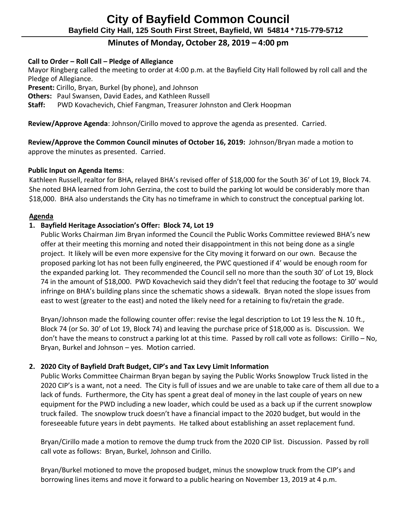# **Minutes of Monday, October 28, 2019 – 4:00 pm**

# **Call to Order – Roll Call – Pledge of Allegiance**

Mayor Ringberg called the meeting to order at 4:00 p.m. at the Bayfield City Hall followed by roll call and the Pledge of Allegiance.

**Present:** Cirillo, Bryan, Burkel (by phone), and Johnson

**Others:** Paul Swansen, David Eades, and Kathleen Russell

 **Staff:** PWD Kovachevich, Chief Fangman, Treasurer Johnston and Clerk Hoopman

**Review/Approve Agenda**: Johnson/Cirillo moved to approve the agenda as presented. Carried.

 **Review/Approve the Common Council minutes of October 16, 2019:** Johnson/Bryan made a motion to approve the minutes as presented. Carried.

## **Public Input on Agenda Items**:

Kathleen Russell, realtor for BHA, relayed BHA's revised offer of \$18,000 for the South 36' of Lot 19, Block 74. She noted BHA learned from John Gerzina, the cost to build the parking lot would be considerably more than \$18,000. BHA also understands the City has no timeframe in which to construct the conceptual parking lot.

#### **Agenda**

# **1. Bayfield Heritage Association's Offer: Block 74, Lot 19**

Public Works Chairman Jim Bryan informed the Council the Public Works Committee reviewed BHA's new offer at their meeting this morning and noted their disappointment in this not being done as a single project. It likely will be even more expensive for the City moving it forward on our own. Because the proposed parking lot has not been fully engineered, the PWC questioned if 4' would be enough room for the expanded parking lot. They recommended the Council sell no more than the south 30' of Lot 19, Block 74 in the amount of \$18,000. PWD Kovachevich said they didn't feel that reducing the footage to 30' would infringe on BHA's building plans since the schematic shows a sidewalk. Bryan noted the slope issues from east to west (greater to the east) and noted the likely need for a retaining to fix/retain the grade.

Bryan/Johnson made the following counter offer: revise the legal description to Lot 19 less the N. 10 ft., Block 74 (or So. 30' of Lot 19, Block 74) and leaving the purchase price of \$18,000 as is. Discussion. We don't have the means to construct a parking lot at this time. Passed by roll call vote as follows: Cirillo – No, Bryan, Burkel and Johnson – yes. Motion carried.

## **2. 2020 City of Bayfield Draft Budget, CIP's and Tax Levy Limit Information**

Public Works Committee Chairman Bryan began by saying the Public Works Snowplow Truck listed in the 2020 CIP's is a want, not a need. The City is full of issues and we are unable to take care of them all due to a lack of funds. Furthermore, the City has spent a great deal of money in the last couple of years on new equipment for the PWD including a new loader, which could be used as a back up if the current snowplow truck failed. The snowplow truck doesn't have a financial impact to the 2020 budget, but would in the foreseeable future years in debt payments. He talked about establishing an asset replacement fund.

Bryan/Cirillo made a motion to remove the dump truck from the 2020 CIP list. Discussion. Passed by roll call vote as follows: Bryan, Burkel, Johnson and Cirillo.

Bryan/Burkel motioned to move the proposed budget, minus the snowplow truck from the CIP's and borrowing lines items and move it forward to a public hearing on November 13, 2019 at 4 p.m.